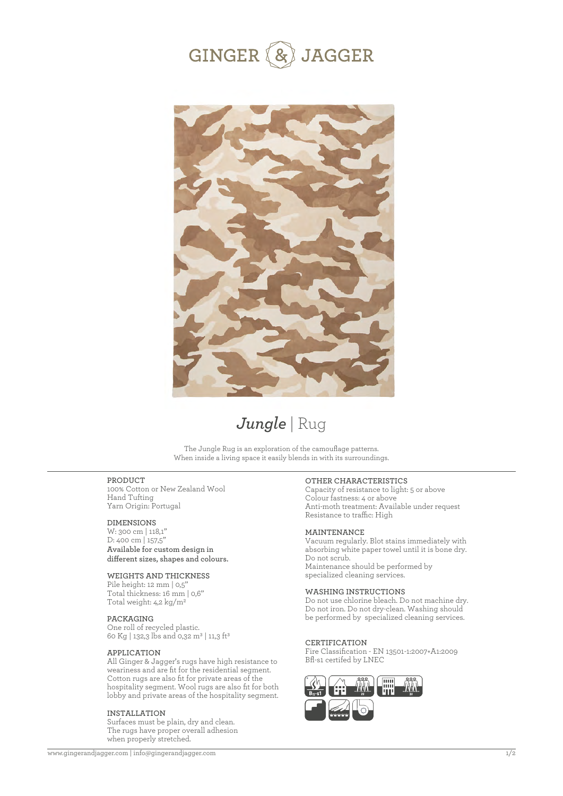



# *Jungle* | Rug

The Jungle Rug is an exploration of the camouflage patterns. When inside a living space it easily blends in with its surroundings.

# **PRODUCT**

100% Cotton or New Zealand Wool Hand Tufting Yarn Origin: Portugal

# **DIMENSIONS**

W: 300 cm | 118,1'' D: 400 cm | 157,5'' **Available for custom design in**  different sizes, shapes and colours.

# **WEIGHTS AND THICKNESS**

Pile height: 12 mm | 0,5' Total thickness: 16 mm | 0,6'' Total weight: 4,2 kg/m2

# **PACKAGING**

One roll of recycled plastic. 60 Kg | 132,3 lbs and 0,32 m<sup>3</sup> | 11,3 ft<sup>3</sup>

### **APPLICATION**

All Ginger & Jagger's rugs have high resistance to weariness and are fit for the residential segment. Cotton rugs are also fit for private areas of the hospitality segment. Wool rugs are also fit for both lobby and private areas of the hospitality segment.

#### **INSTALLATION**

Surfaces must be plain, dry and clean. The rugs have proper overall adhesion when properly stretched.

## **OTHER CHARACTERISTICS**

Capacity of resistance to light: 5 or above Colour fastness: 4 or above Anti-moth treatment: Available under request Resistance to traffic: High

# **MAINTENANCE**

Vacuum regularly. Blot stains immediately with absorbing white paper towel until it is bone dry. Do not scrub. Maintenance should be performed by specialized cleaning services.

# **WASHING INSTRUCTIONS**

Do not use chlorine bleach. Do not machine dry. Do not iron. Do not dry-clean. Washing should be performed by specialized cleaning services.

#### **CERTIFICATION**

Fire Classification - EN 13501-1:2007+A1:2009 Bfl-s1 certifed by LNEC